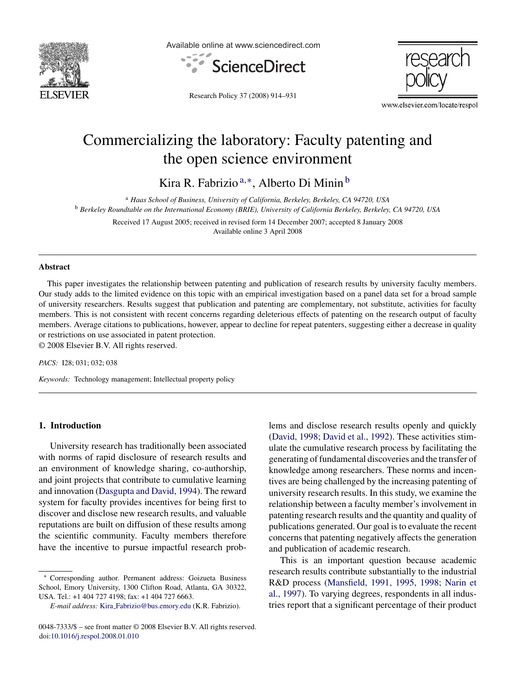

Available online at www.sciencedirect.com





Research Policy 37 (2008) 914–931

www.elsevier.com/locate/respol

## Commercializing the laboratory: Faculty patenting and the open science environment

Kira R. Fabrizio<sup>a,∗</sup>, Alberto Di Minin<sup>b</sup>

<sup>a</sup> *Haas School of Business, University of California, Berkeley, Berkeley, CA 94720, USA* <sup>b</sup> *Berkeley Roundtable on the International Economy (BRIE), University of California Berkeley, Berkeley, CA 94720, USA*

Received 17 August 2005; received in revised form 14 December 2007; accepted 8 January 2008 Available online 3 April 2008

## **Abstract**

This paper investigates the relationship between patenting and publication of research results by university faculty members. Our study adds to the limited evidence on this topic with an empirical investigation based on a panel data set for a broad sample of university researchers. Results suggest that publication and patenting are complementary, not substitute, activities for faculty members. This is not consistent with recent concerns regarding deleterious effects of patenting on the research output of faculty members. Average citations to publications, however, appear to decline for repeat patenters, suggesting either a decrease in quality or restrictions on use associated in patent protection.

© 2008 Elsevier B.V. All rights reserved.

*PACS:* I28; 031; 032; 038

*Keywords:* Technology management; Intellectual property policy

## **1. Introduction**

University research has traditionally been associated with norms of rapid disclosure of research results and an environment of knowledge sharing, co-authorship, and joint projects that contribute to cumulative learning and innovation [\(Dasgupta and David, 1994\).](#page--1-0) The reward system for faculty provides incentives for being first to discover and disclose new research results, and valuable reputations are built on diffusion of these results among the scientific community. Faculty members therefore have the incentive to pursue impactful research problems and disclose research results openly and quickly ([David, 1998; David et al., 1992\).](#page--1-0) These activities stimulate the cumulative research process by facilitating the generating of fundamental discoveries and the transfer of knowledge among researchers. These norms and incentives are being challenged by the increasing patenting of university research results. In this study, we examine the relationship between a faculty member's involvement in patenting research results and the quantity and quality of publications generated. Our goal is to evaluate the recent concerns that patenting negatively affects the generation and publication of academic research.

This is an important question because academic research results contribute substantially to the industrial R&D process ([Mansfield, 1991, 1995, 1998; Narin et](#page--1-0) [al., 1997\).](#page--1-0) To varying degrees, respondents in all industries report that a significant percentage of their product

<sup>∗</sup> Corresponding author. Permanent address: Goizueta Business School, Emory University, 1300 Clifton Road, Atlanta, GA 30322, USA. Tel.: +1 404 727 4198; fax: +1 404 727 6663.

*E-mail address:* Kira [Fabrizio@bus.emory.edu](mailto:Kira_Fabrizio@bus.emory.edu) (K.R. Fabrizio).

<sup>0048-7333/\$ –</sup> see front matter © 2008 Elsevier B.V. All rights reserved. doi[:10.1016/j.respol.2008.01.010](dx.doi.org/10.1016/j.respol.2008.01.010)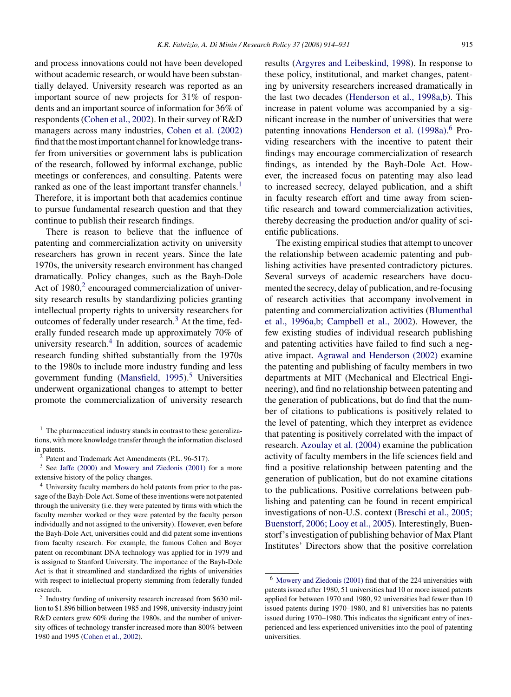and process innovations could not have been developed without academic research, or would have been substantially delayed. University research was reported as an important source of new projects for 31% of respondents and an important source of information for 36% of respondents ([Cohen et al., 2002\).](#page--1-0) In their survey of R&D managers across many industries, [Cohen et al. \(2002\)](#page--1-0) find that the most important channel for knowledge transfer from universities or government labs is publication of the research, followed by informal exchange, public meetings or conferences, and consulting. Patents were ranked as one of the least important transfer channels.<sup>1</sup> Therefore, it is important both that academics continue to pursue fundamental research question and that they continue to publish their research findings.

There is reason to believe that the influence of patenting and commercialization activity on university researchers has grown in recent years. Since the late 1970s, the university research environment has changed dramatically. Policy changes, such as the Bayh-Dole Act of  $1980<sup>2</sup>$  encouraged commercialization of university research results by standardizing policies granting intellectual property rights to university researchers for outcomes of federally under research. $3$  At the time, federally funded research made up approximately 70% of university research. $4$  In addition, sources of academic research funding shifted substantially from the 1970s to the 1980s to include more industry funding and less government funding (Mansfield,  $1995$ ).<sup>5</sup> Universities underwent organizational changes to attempt to better promote the commercialization of university research

results ([Argyres and Leibeskind, 1998\).](#page--1-0) In response to these policy, institutional, and market changes, patenting by university researchers increased dramatically in the last two decades ([Henderson et al., 1998a,b\).](#page--1-0) This increase in patent volume was accompanied by a significant increase in the number of universities that were patenting innovations [Henderson et al. \(1998a\).](#page--1-0)<sup>6</sup> Providing researchers with the incentive to patent their findings may encourage commercialization of research findings, as intended by the Bayh-Dole Act. However, the increased focus on patenting may also lead to increased secrecy, delayed publication, and a shift in faculty research effort and time away from scientific research and toward commercialization activities, thereby decreasing the production and/or quality of scientific publications.

The existing empirical studies that attempt to uncover the relationship between academic patenting and publishing activities have presented contradictory pictures. Several surveys of academic researchers have documented the secrecy, delay of publication, and re-focusing of research activities that accompany involvement in patenting and commercialization activities ([Blumenthal](#page--1-0) [et al., 1996a,b; Campbell et al., 2002\).](#page--1-0) However, the few existing studies of individual research publishing and patenting activities have failed to find such a negative impact. [Agrawal and Henderson \(2002\)](#page--1-0) examine the patenting and publishing of faculty members in two departments at MIT (Mechanical and Electrical Engineering), and find no relationship between patenting and the generation of publications, but do find that the number of citations to publications is positively related to the level of patenting, which they interpret as evidence that patenting is positively correlated with the impact of research. [Azoulay et al. \(2004\)](#page--1-0) examine the publication activity of faculty members in the life sciences field and find a positive relationship between patenting and the generation of publication, but do not examine citations to the publications. Positive correlations between publishing and patenting can be found in recent empirical investigations of non-U.S. context [\(Breschi et al., 2005;](#page--1-0) [Buenstorf, 2006; Looy et al., 2005\).](#page--1-0) Interestingly, Buenstorf's investigation of publishing behavior of Max Plant Institutes' Directors show that the positive correlation

 $1$  The pharmaceutical industry stands in contrast to these generalizations, with more knowledge transfer through the information disclosed in patents.

 $2^{2}$  Patent and Trademark Act Amendments (P.L. 96-517).

<sup>3</sup> See [Jaffe \(2000\)](#page--1-0) and [Mowery and Ziedonis \(2001\)](#page--1-0) for a more extensive history of the policy changes.

<sup>4</sup> University faculty members do hold patents from prior to the passage of the Bayh-Dole Act. Some of these inventions were not patented through the university (i.e. they were patented by firms with which the faculty member worked or they were patented by the faculty person individually and not assigned to the university). However, even before the Bayh-Dole Act, universities could and did patent some inventions from faculty research. For example, the famous Cohen and Boyer patent on recombinant DNA technology was applied for in 1979 and is assigned to Stanford University. The importance of the Bayh-Dole Act is that it streamlined and standardized the rights of universities with respect to intellectual property stemming from federally funded research.

<sup>5</sup> Industry funding of university research increased from \$630 million to \$1.896 billion between 1985 and 1998, university-industry joint R&D centers grew 60% during the 1980s, and the number of university offices of technology transfer increased more than 800% between 1980 and 1995 ([Cohen et al., 2002\).](#page--1-0)

<sup>6</sup> [Mowery and Ziedonis \(2001\)](#page--1-0) find that of the 224 universities with patents issued after 1980, 51 universities had 10 or more issued patents applied for between 1970 and 1980, 92 universities had fewer than 10 issued patents during 1970–1980, and 81 universities has no patents issued during 1970–1980. This indicates the significant entry of inexperienced and less experienced universities into the pool of patenting universities.